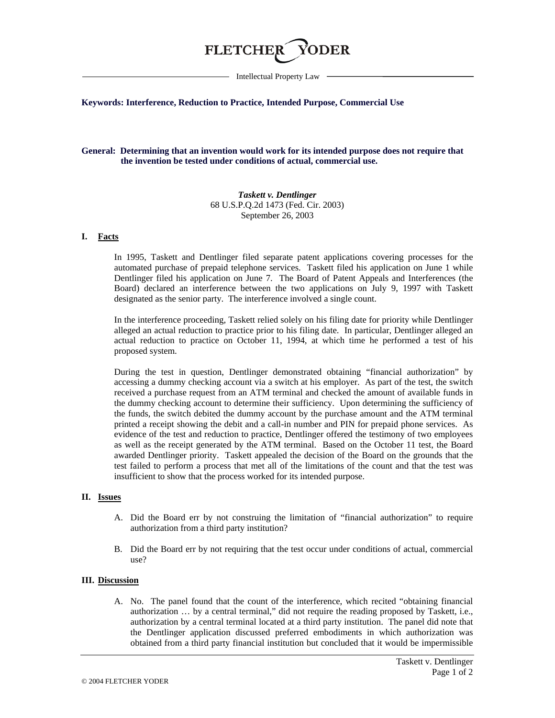# **FLETCHE**

Intellectual Property Law

### **Keywords: Interference, Reduction to Practice, Intended Purpose, Commercial Use**

## **General: Determining that an invention would work for its intended purpose does not require that the invention be tested under conditions of actual, commercial use.**

*Taskett v. Dentlinger* 68 U.S.P.Q.2d 1473 (Fed. Cir. 2003) September 26, 2003

### **I. Facts**

In 1995, Taskett and Dentlinger filed separate patent applications covering processes for the automated purchase of prepaid telephone services. Taskett filed his application on June 1 while Dentlinger filed his application on June 7. The Board of Patent Appeals and Interferences (the Board) declared an interference between the two applications on July 9, 1997 with Taskett designated as the senior party. The interference involved a single count.

In the interference proceeding, Taskett relied solely on his filing date for priority while Dentlinger alleged an actual reduction to practice prior to his filing date. In particular, Dentlinger alleged an actual reduction to practice on October 11, 1994, at which time he performed a test of his proposed system.

During the test in question, Dentlinger demonstrated obtaining "financial authorization" by accessing a dummy checking account via a switch at his employer. As part of the test, the switch received a purchase request from an ATM terminal and checked the amount of available funds in the dummy checking account to determine their sufficiency. Upon determining the sufficiency of the funds, the switch debited the dummy account by the purchase amount and the ATM terminal printed a receipt showing the debit and a call-in number and PIN for prepaid phone services. As evidence of the test and reduction to practice, Dentlinger offered the testimony of two employees as well as the receipt generated by the ATM terminal. Based on the October 11 test, the Board awarded Dentlinger priority. Taskett appealed the decision of the Board on the grounds that the test failed to perform a process that met all of the limitations of the count and that the test was insufficient to show that the process worked for its intended purpose.

### **II. Issues**

- A. Did the Board err by not construing the limitation of "financial authorization" to require authorization from a third party institution?
- B. Did the Board err by not requiring that the test occur under conditions of actual, commercial use?

### **III. Discussion**

A. No. The panel found that the count of the interference, which recited "obtaining financial authorization … by a central terminal," did not require the reading proposed by Taskett, i.e., authorization by a central terminal located at a third party institution. The panel did note that the Dentlinger application discussed preferred embodiments in which authorization was obtained from a third party financial institution but concluded that it would be impermissible